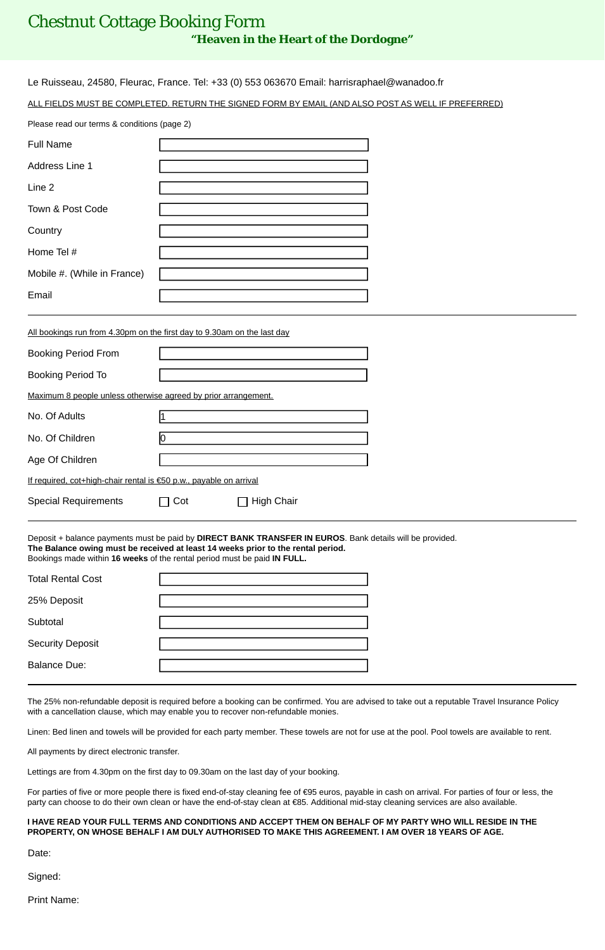## Chestnut Cottage Booking Form **"Heaven in the Heart of the Dordogne"**

|                                                                                                                                                                                                                                                                          | Le Ruisseau, 24580, Fleurac, France. Tel: +33 (0) 553 063670 Email: harrisraphael@wanadoo.fr |
|--------------------------------------------------------------------------------------------------------------------------------------------------------------------------------------------------------------------------------------------------------------------------|----------------------------------------------------------------------------------------------|
| <u>ALL FIELDS MUST BE COMPLETED. RETURN THE SIGNED FORM BY EMAIL (AND ALSO POST AS WELL IF PREFERRED)</u>                                                                                                                                                                |                                                                                              |
| Please read our terms & conditions (page 2)                                                                                                                                                                                                                              |                                                                                              |
| Full Name                                                                                                                                                                                                                                                                |                                                                                              |
| Address Line 1                                                                                                                                                                                                                                                           |                                                                                              |
| Line 2                                                                                                                                                                                                                                                                   |                                                                                              |
| Town & Post Code                                                                                                                                                                                                                                                         |                                                                                              |
| Country                                                                                                                                                                                                                                                                  |                                                                                              |
| Home Tel #                                                                                                                                                                                                                                                               |                                                                                              |
| Mobile #. (While in France)                                                                                                                                                                                                                                              |                                                                                              |
| Email                                                                                                                                                                                                                                                                    |                                                                                              |
| All bookings run from 4.30pm on the first day to 9.30am on the last day                                                                                                                                                                                                  |                                                                                              |
| <b>Booking Period From</b>                                                                                                                                                                                                                                               |                                                                                              |
|                                                                                                                                                                                                                                                                          |                                                                                              |
| <b>Booking Period To</b>                                                                                                                                                                                                                                                 |                                                                                              |
| Maximum 8 people unless otherwise agreed by prior arrangement.                                                                                                                                                                                                           |                                                                                              |
| No. Of Adults                                                                                                                                                                                                                                                            |                                                                                              |
| No. Of Children                                                                                                                                                                                                                                                          | 0                                                                                            |
| Age Of Children                                                                                                                                                                                                                                                          |                                                                                              |
| If required, cot+high-chair rental is €50 p.w., payable on arrival                                                                                                                                                                                                       |                                                                                              |
| <b>Special Requirements</b>                                                                                                                                                                                                                                              | $\Box$ High Chair<br>$\Box$ Cot                                                              |
| Deposit + balance payments must be paid by DIRECT BANK TRANSFER IN EUROS. Bank details will be provided.<br>The Balance owing must be received at least 14 weeks prior to the rental period.<br>Bookings made within 16 weeks of the rental period must be paid IN FULL. |                                                                                              |
| <b>Total Rental Cost</b>                                                                                                                                                                                                                                                 |                                                                                              |
| 25% Deposit                                                                                                                                                                                                                                                              |                                                                                              |
| Subtotal                                                                                                                                                                                                                                                                 |                                                                                              |
| <b>Security Deposit</b>                                                                                                                                                                                                                                                  |                                                                                              |
| <b>Balance Due:</b>                                                                                                                                                                                                                                                      |                                                                                              |
|                                                                                                                                                                                                                                                                          |                                                                                              |

The 25% non-refundable deposit is required before a booking can be confirmed. You are advised to take out a reputable Travel Insurance Policy with a cancellation clause, which may enable you to recover non-refundable monies.

Linen: Bed linen and towels will be provided for each party member. These towels are not for use at the pool. Pool towels are available to rent.

All payments by direct electronic transfer.

Lettings are from 4.30pm on the first day to 09.30am on the last day of your booking.

For parties of five or more people there is fixed end-of-stay cleaning fee of €95 euros, payable in cash on arrival. For parties of four or less, the party can choose to do their own clean or have the end-of-stay clean at €85. Additional mid-stay cleaning services are also available.

## **I HAVE READ YOUR FULL TERMS AND CONDITIONS AND ACCEPT THEM ON BEHALF OF MY PARTY WHO WILL RESIDE IN THE PROPERTY, ON WHOSE BEHALF I AM DULY AUTHORISED TO MAKE THIS AGREEMENT. I AM OVER 18 YEARS OF AGE.**

Date:

Signed:

Print Name: